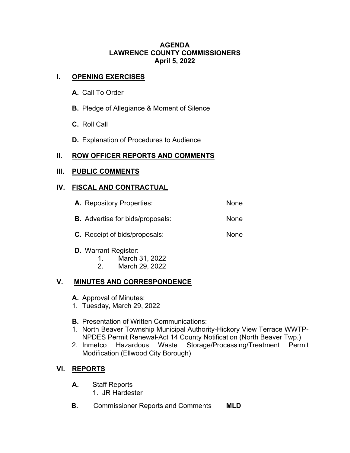#### **AGENDA LAWRENCE COUNTY COMMISSIONERS April 5, 2022**

#### **I. OPENING EXERCISES**

- **A.** Call To Order
- **B.** Pledge of Allegiance & Moment of Silence
- **C.** Roll Call
- **D.** Explanation of Procedures to Audience

# **II. ROW OFFICER REPORTS AND COMMENTS**

#### **III. PUBLIC COMMENTS**

# **IV. FISCAL AND CONTRACTUAL**

| <b>A.</b> Repository Properties:        | None |
|-----------------------------------------|------|
| <b>B.</b> Advertise for bids/proposals: | None |
| <b>C.</b> Receipt of bids/proposals:    | None |

- **D.** Warrant Register:
	- 1. March 31, 2022
	- 2. March 29, 2022

# **V. MINUTES AND CORRESPONDENCE**

- **A.** Approval of Minutes:
- 1. Tuesday, March 29, 2022
- **B.** Presentation of Written Communications:
- 1. North Beaver Township Municipal Authority-Hickory View Terrace WWTP-NPDES Permit Renewal-Act 14 County Notification (North Beaver Twp.)
- 2. Inmetco Hazardous Waste Storage/Processing/Treatment Permit Modification (Ellwood City Borough)

# **VI. REPORTS**

- **A.** Staff Reports
	- 1. JR Hardester
- **B.** Commissioner Reports and Comments **MLD**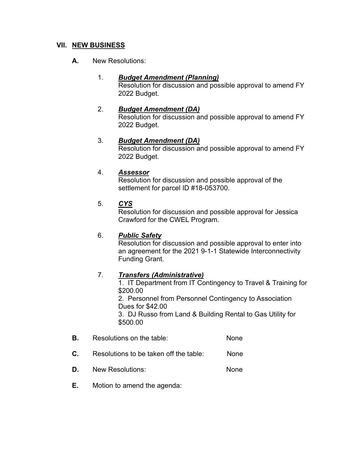#### **VII. NEW BUSINESS**

**A.** New Resolutions:

## 1. *Budget Amendment (Planning)* Resolution for discussion and possible approval to amend FY 2022 Budget.

2. *Budget Amendment (DA)* Resolution for discussion and possible approval to amend FY 2022 Budget.

# 3. *Budget Amendment (DA)*

Resolution for discussion and possible approval to amend FY 2022 Budget.

#### 4. *Assessor*

Resolution for discussion and possible approval of the settlement for parcel ID #18-053700.

# 5. *CYS*

Resolution for discussion and possible approval for Jessica Crawford for the CWEL Program.

# 6. *Public Safety*

Resolution for discussion and possible approval to enter into an agreement for the 2021 9-1-1 Statewide Interconnectivity Funding Grant.

# 7. *Transfers (Administrative)*

1. IT Department from IT Contingency to Travel & Training for \$200.00 2. Personnel from Personnel Contingency to Association Dues for \$42.00 3. DJ Russo from Land & Building Rental to Gas Utility for \$500.00

- **B.** Resolutions on the table: None
- **C.** Resolutions to be taken off the table: None
- **D.** New Resolutions: None
- **E.** Motion to amend the agenda: